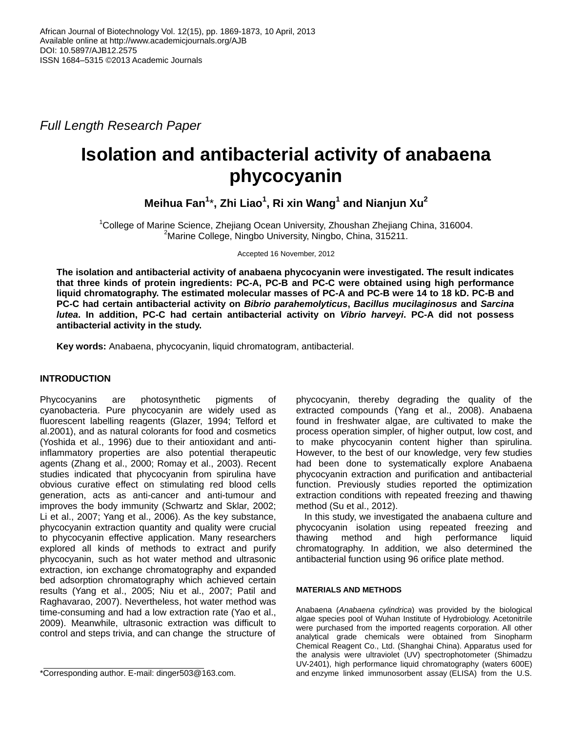*Full Length Research Paper*

# **Isolation and antibacterial activity of anabaena phycocyanin**

**Meihua Fan<sup>1</sup>** \***, Zhi Liao<sup>1</sup> , Ri xin Wang<sup>1</sup> and Nianjun Xu<sup>2</sup>**

<sup>1</sup>College of Marine Science, Zhejiang Ocean University, Zhoushan Zhejiang China, 316004. <sup>2</sup>Marine College, Ningbo University, Ningbo, China, 315211.

Accepted 16 November, 2012

**The isolation and antibacterial activity of anabaena phycocyanin were investigated. The result indicates that three kinds of protein ingredients: PC-A, PC-B and PC-C were obtained using high performance liquid chromatography. The estimated molecular masses of PC-A and PC-B were 14 to 18 kD. PC-B and PC-C had certain antibacterial activity on** *Bibrio parahemolyticus***,** *Bacillus mucilaginosus* **and** *Sarcina lutea***. In addition, PC-C had certain antibacterial activity on** *Vibrio harveyi***. PC-A did not possess antibacterial activity in the study.**

**Key words:** Anabaena, phycocyanin, liquid chromatogram, antibacterial.

## **INTRODUCTION**

Phycocyanins are photosynthetic pigments of cyanobacteria. Pure phycocyanin are widely used as fluorescent labelling reagents (Glazer, 1994; Telford et al.2001), and as natural colorants for food and cosmetics (Yoshida et al., 1996) due to their antioxidant and antiinflammatory properties are also potential therapeutic agents (Zhang et al., 2000; Romay et al., 2003). Recent studies indicated that phycocyanin from spirulina have obvious curative effect on stimulating red blood cells generation, acts as anti-cancer and anti-tumour and improves the body immunity (Schwartz and Sklar, 2002; Li et al., 2007; Yang et al., 2006). As the key substance, phycocyanin extraction quantity and quality were crucial to phycocyanin effective application. Many researchers explored all kinds of methods to extract and purify phycocyanin, such as hot water method and ultrasonic extraction, ion exchange chromatography and expanded bed adsorption chromatography which achieved certain results (Yang et al., 2005; Niu et al., 2007; Patil and Raghavarao, 2007). Nevertheless, hot water method was time-consuming and had a low extraction rate (Yao et al., 2009). Meanwhile, ultrasonic extraction was difficult to control and steps trivia, and can change the structure of

phycocyanin, thereby degrading the quality of the extracted compounds (Yang et al., 2008). Anabaena found in freshwater algae, are cultivated to make the process operation simpler, of higher output, low cost, and to make phycocyanin content higher than spirulina. However, to the best of our knowledge, very few studies had been done to systematically explore Anabaena phycocyanin extraction and purification and antibacterial function. Previously studies reported the optimization extraction conditions with repeated freezing and thawing method (Su et al., 2012).

In this study, we investigated the anabaena culture and phycocyanin isolation using repeated freezing and thawing method and high performance liquid chromatography. In addition, we also determined the antibacterial function using 96 orifice plate method.

## **MATERIALS AND METHODS**

Anabaena (*Anabaena cylindrica*) was provided by the biological algae species pool of Wuhan Institute of Hydrobiology. Acetonitrile were purchased from the imported reagents corporation. All other analytical grade chemicals were obtained from Sinopharm Chemical Reagent Co., Ltd. (Shanghai China). Apparatus used for the analysis were ultraviolet (UV) spectrophotometer (Shimadzu UV-2401), high performance liquid chromatography (waters 600E) and enzyme linked immunosorbent assay (ELISA) from the U.S.

<sup>\*</sup>Corresponding author. E-mail: dinger503@163.com.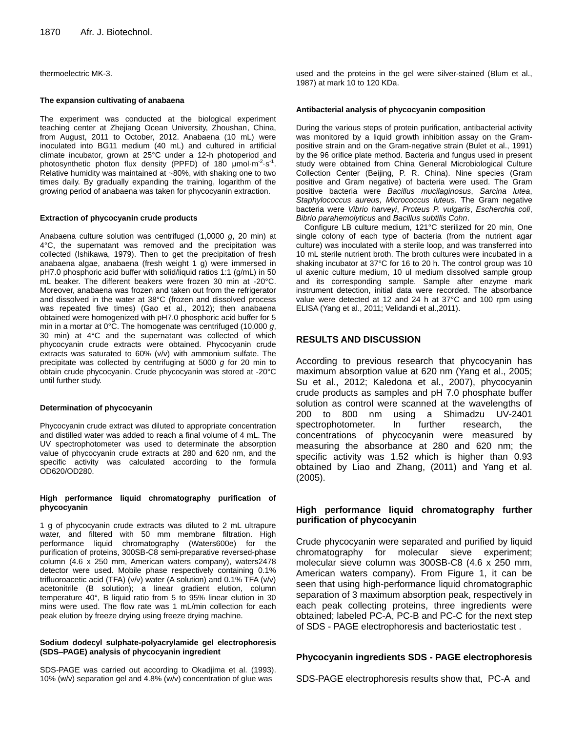thermoelectric MK-3.

#### **The expansion cultivating of anabaena**

The experiment was conducted at the biological experiment teaching center at Zhejiang Ocean University, Zhoushan, China, from August, 2011 to October, 2012. Anabaena (10 mL) were inoculated into BG11 medium (40 mL) and cultured in artificial climate incubator, grown at 25°C under a 12-h photoperiod and photosynthetic photon flux density (PPFD) of 180  $\mu$ mol·m<sup>-2</sup>·s<sup>-1</sup>. Relative humidity was maintained at ~80%, with shaking one to two times daily. By gradually expanding the training, logarithm of the growing period of anabaena was taken for phycocyanin extraction.

#### **Extraction of phycocyanin crude products**

Anabaena culture solution was centrifuged (1,0000 *g*, 20 min) at 4°C, the supernatant was removed and the precipitation was collected (Ishikawa, 1979). Then to get the precipitation of fresh anabaena algae, anabaena (fresh weight 1 g) were immersed in pH7.0 phosphoric acid buffer with solid/liquid ratios 1:1 (g/mL) in 50 mL beaker. The different beakers were frozen 30 min at -20°C. Moreover, anabaena was frozen and taken out from the refrigerator and dissolved in the water at 38°C (frozen and dissolved process was repeated five times) (Gao et al., 2012); then anabaena obtained were homogenized with pH7.0 phosphoric acid buffer for 5 min in a mortar at 0°C. The homogenate was centrifuged (10,000 *g*, 30 min) at 4°C and the supernatant was collected of which phycocyanin crude extracts were obtained. Phycocyanin crude extracts was saturated to 60% (v/v) with ammonium sulfate. The precipitate was collected by centrifuging at 5000 *g* for 20 min to obtain crude phycocyanin. Crude phycocyanin was stored at -20°C until further study.

#### **Determination of phycocyanin**

Phycocyanin crude extract was diluted to appropriate concentration and distilled water was added to reach a final volume of 4 mL. The UV spectrophotometer was used to determinate the absorption value of phycocyanin crude extracts at 280 and 620 nm, and the specific activity was calculated according to the formula OD620/OD280.

#### **High performance liquid chromatography purification of phycocyanin**

1 g of phycocyanin crude extracts was diluted to 2 mL ultrapure water, and filtered with 50 mm membrane filtration. High performance liquid chromatography (Waters600e) for the purification of proteins, 300SB-C8 semi-preparative reversed-phase column (4.6 x 250 mm, American waters company), waters2478 detector were used. Mobile phase respectively containing 0.1% trifluoroacetic acid (TFA) (v/v) water (A solution) and 0.1% TFA (v/v) acetonitrile (B solution); a linear gradient elution, column temperature 40°, B liquid ratio from 5 to 95% linear elution in 30 mins were used. The flow rate was 1 mL/min collection for each peak elution by freeze drying using freeze drying machine.

#### **Sodium dodecyl sulphate-polyacrylamide gel electrophoresis (SDS–PAGE) analysis of phycocyanin ingredient**

SDS-PAGE was carried out according to Okadjima et al. (1993). 10% (w/v) separation gel and 4.8% (w/v) concentration of glue was

used and the proteins in the gel were silver-stained (Blum et al., 1987) at mark 10 to 120 KDa.

#### **Antibacterial analysis of phycocyanin composition**

During the various steps of protein purification, antibacterial activity was monitored by a liquid growth inhibition assay on the Grampositive strain and on the Gram-negative strain (Bulet et al., 1991) by the 96 orifice plate method. Bacteria and fungus used in present study were obtained from China General Microbiological Culture Collection Center (Beijing, P. R. China). Nine species (Gram positive and Gram negative) of bacteria were used. The Gram positive bacteria were *Bacillus mucilaginosus*, *Sarcina lutea*, *Staphylococcus aureus*, *Micrococcus luteus.* The Gram negative bacteria were *Vibrio harveyi*, *Proteus P. vulgaris*, *Escherchia coli*, *Bibrio parahemolyticus* and *Bacillus subtilis Cohn*.

Configure LB culture medium, 121°C [sterilized](app:ds:sterilize) for 20 min, One single colony of each type of bacteria (from the nutrient agar culture) was inoculated with a sterile loop, and was transferred into 10 mL sterile nutrient broth. The broth cultures were incubated in a shaking incubator at 37°C for 16 to 20 h. The control group was 10 ul axenic culture medium, 10 ul medium dissolved sample group and its corresponding sample. Sample after enzyme mark instrument detection, initial data were recorded. The absorbance value were detected at 12 and 24 h at 37°C and 100 rpm using ELISA (Yang et al., 2011; Velidandi et al.,2011).

## **RESULTS AND DISCUSSION**

According to previous research that phycocyanin has maximum absorption value at 620 nm (Yang et al., 2005; Su et al., 2012; Kaledona et al., 2007), phycocyanin crude products as samples and pH 7.0 phosphate buffer solution as control were scanned at the wavelengths of 200 to 800 nm using a Shimadzu UV-2401 spectrophotometer. In further research, the concentrations of phycocyanin were measured by measuring the absorbance at 280 and 620 nm; the specific activity was 1.52 which is higher than 0.93 obtained by Liao and Zhang, (2011) and Yang et al. (2005).

## **High performance liquid chromatography further purification of phycocyanin**

Crude phycocyanin were separated and purified by liquid chromatography for molecular sieve experiment; molecular sieve column was 300SB-C8 (4.6 x 250 mm, American waters company). From Figure 1, it can be seen that using high-performance liquid chromatographic separation of 3 maximum absorption peak, respectively in each peak collecting proteins, three ingredients were obtained; labeled PC-A, PC-B and PC-C for the next step of SDS - PAGE electrophoresis and bacteriostatic test .

## **Phycocyanin ingredients SDS - PAGE electrophoresis**

SDS-PAGE electrophoresis results show that, PC-A and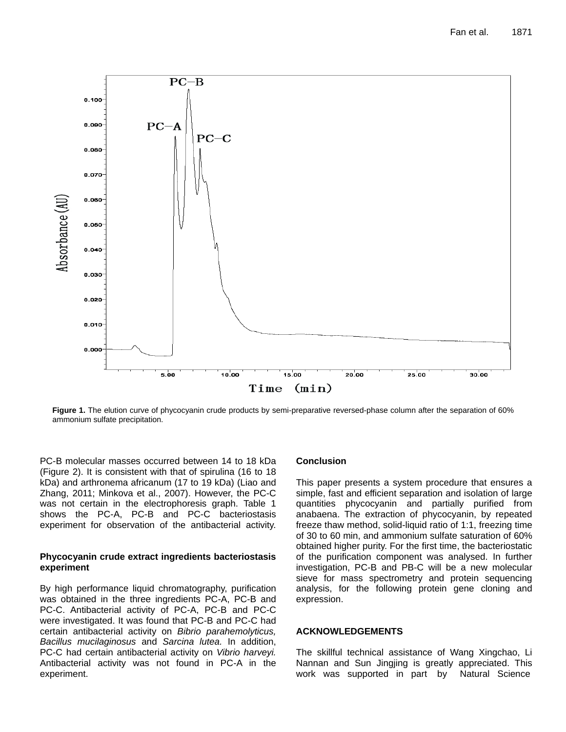

**Figure 1.** The elution curve of phycocyanin crude products by semi-preparative reversed-phase column after the separation of 60% ammonium sulfate precipitation.

PC-B molecular masses occurred between 14 to 18 kDa (Figure 2). It is consistent with that of spirulina (16 to 18 kDa) and arthronema africanum (17 to 19 kDa) (Liao and Zhang, 2011; Minkova et al., 2007). However, the PC-C was not certain in the electrophoresis graph. Table 1 shows the PC-A, PC-B and PC-C bacteriostasis experiment for observation of the antibacterial activity.

## **Phycocyanin crude extract ingredients bacteriostasis experiment**

By high performance liquid chromatography, purification was obtained in the three ingredients PC-A, PC-B and PC-C. Antibacterial activity of PC-A, PC-B and PC-C were investigated. It was found that PC-B and PC-C had certain antibacterial activity on *Bibrio parahemolyticus, Bacillus mucilaginosus* and *Sarcina lutea.* In addition, PC-C had certain antibacterial activity on *Vibrio harveyi.* Antibacterial activity was not found in PC-A in the experiment.

## **Conclusion**

This paper presents a system procedure that ensures a simple, fast and efficient separation and isolation of large quantities phycocyanin and partially purified from anabaena. The extraction of phycocyanin, by repeated freeze thaw method, solid-liquid ratio of 1:1, freezing time of 30 to 60 min, and ammonium sulfate saturation of 60% obtained higher purity. For the first time, the bacteriostatic of the purification component was analysed. In further investigation, PC-B and PB-C will be a new molecular sieve for mass spectrometry and protein sequencing analysis, for the following protein gene cloning and expression.

## **ACKNOWLEDGEMENTS**

The skillful technical assistance of Wang Xingchao, Li Nannan and Sun Jingjing is greatly appreciated. This work was supported in part by Natural Science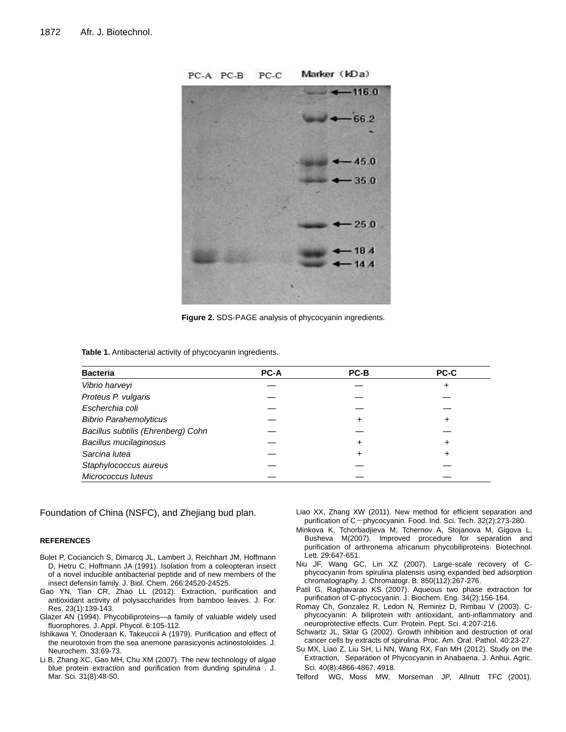

**Figure 2.** SDS-PAGE analysis of phycocyanin ingredients.

**Table 1.** Antibacterial activity of phycocyanin ingredients.

| <b>Bacteria</b>                    | <b>PC-A</b> | PC-B | PC-C |
|------------------------------------|-------------|------|------|
| Vibrio harveyi                     |             |      |      |
| Proteus P. vulgaris                |             |      |      |
| Escherchia coli                    |             |      |      |
| <b>Bibrio Parahemolyticus</b>      |             | ٠    |      |
| Bacillus subtilis (Ehrenberg) Cohn |             |      |      |
| Bacillus mucilaginosus             |             | ٠    |      |
| Sarcina lutea                      |             | ٠    |      |
| Staphylococcus aureus              |             |      |      |
| Micrococcus luteus                 |             |      |      |

Foundation of China (NSFC), and Zhejiang bud plan.

#### **REFERENCES**

- Bulet P, Cociancich S, Dimarcq JL, Lambert J, Reichhart JM, Hoffmann D, Hetru C, Hoffmann JA (1991). Isolation from a coleopteran insect of a novel inducible antibacterial peptide and of new members of the insect defensin family. J. Biol. Chem. 266:24520-24525.
- Gao YN, Tian CR, Zhao LL (2012). Extraction, purification and antioxidant activity of polysaccharides from bamboo leaves. J. For. Res. 23(1):139-143.
- Glazer AN (1994). Phycobiliproteins—a family of valuable widely used fluorophores. J. Appl. Phycol. 6:105-112.
- Ishikawa Y, Onoderaan K, Takeuccii A (1979). Purification and effect of the neurotoxin from the sea anemone parasicyonis actinostoloides. J. Neurochem. 33:69-73.
- Li B, Zhang XC, Gao MH, Chu XM (2007). The new technology of algae blue protein extraction and purification from dunding spirulina . J. Mar. Sci. 31(8):48-50.
- Liao XX, Zhang XW (2011). New method for efficient separation and purification of C-phycocyanin. Food. Ind. Sci. Tech. 32(2):273-280.
- Minkova K, Tchorbadjieva M, Tchernov A, Stojanova M, Gigova L, Busheva M(2007). Improved procedure for separation and purification of arthronema africanum phycobiliproteins. Biotechnol. Lett. 29:647-651.
- Niu JF, Wang GC, Lin XZ (2007). Large-scale recovery of Cphycocyanin from spirulina platensis using expanded bed adsorption chromatography. J. Chromatogr. B. 850(112):267-276.
- Patil G, Raghavarao KS (2007). Aqueous two phase extraction for purification of C-phycocyanin. J. Biochem. Eng. 34(2):156-164.
- Romay Ch, Gonzalez R, Ledon N, Remirez D, Rimbau V (2003). Cphycocyanin: A biliprotein with antioxidant, anti-inflammatory and neuroprotective effects. Curr. Protein. Pept. Sci. 4:207-216.
- Schwartz JL, Sklar G (2002). Growth inhibition and destruction of oral cancer cells by extracts of spirulina. Proc. Am. Oral. Pathol. 40:23-27.
- Su MX, Liao Z, Liu SH, Li NN, Wang RX, Fan MH (2012). Study on the Extraction, Separation of Phycocyanin in Anabaena. J. Anhui. Agric. Sci. 40(8):4866-4867, 4918.
- Telford WG, Moss MW, Morseman JP, Allnutt TFC (2001).